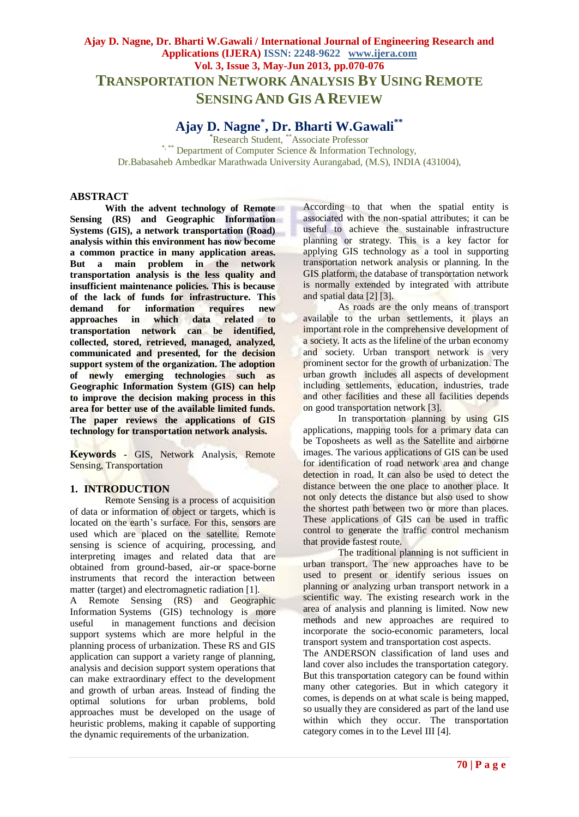# **Ajay D. Nagne, Dr. Bharti W.Gawali / International Journal of Engineering Research and Applications (IJERA) ISSN: 2248-9622 www.ijera.com Vol. 3, Issue 3, May-Jun 2013, pp.070-076 TRANSPORTATION NETWORK ANALYSIS BY USING REMOTE SENSING AND GIS A REVIEW**

# **Ajay D. Nagne\* , Dr. Bharti W.Gawali\*\***

\*Research Student, \*\*Associate Professor \*,\*\*\* Department of Computer Science & Information Technology, Dr.Babasaheb Ambedkar Marathwada University Aurangabad, (M.S), INDIA (431004),

# **ABSTRACT**

**With the advent technology of Remote Sensing (RS) and Geographic Information Systems (GIS), a network transportation (Road) analysis within this environment has now become a common practice in many application areas. But a main problem in the network transportation analysis is the less quality and insufficient maintenance policies. This is because of the lack of funds for infrastructure. This demand for information requires new approaches in which data related to transportation network can be identified, collected, stored, retrieved, managed, analyzed, communicated and presented, for the decision support system of the organization. The adoption of newly emerging technologies such as Geographic Information System (GIS) can help to improve the decision making process in this area for better use of the available limited funds. The paper reviews the applications of GIS technology for transportation network analysis.**

**Keywords -** GIS, Network Analysis, Remote Sensing, Transportation

# **1. INTRODUCTION**

Remote Sensing is a process of acquisition of data or information of object or targets, which is located on the earth's surface. For this, sensors are used which are placed on the satellite. Remote sensing is science of acquiring, processing, and interpreting images and related data that are obtained from ground-based, air-or space-borne instruments that record the interaction between matter (target) and electromagnetic radiation [1].

A Remote Sensing (RS) and Geographic Information Systems (GIS) technology is more useful in management functions and decision support systems which are more helpful in the planning process of urbanization. These RS and GIS application can support a variety range of planning, analysis and decision support system operations that can make extraordinary effect to the development and growth of urban areas. Instead of finding the optimal solutions for urban problems, bold approaches must be developed on the usage of heuristic problems, making it capable of supporting the dynamic requirements of the urbanization.

According to that when the spatial entity is associated with the non-spatial attributes; it can be useful to achieve the sustainable infrastructure planning or strategy. This is a key factor for applying GIS technology as a tool in supporting transportation network analysis or planning. In the GIS platform, the database of transportation network is normally extended by integrated with attribute and spatial data [2] [3].

As roads are the only means of transport available to the urban settlements, it plays an important role in the comprehensive development of a society. It acts as the lifeline of the urban economy and society. Urban transport network is very prominent sector for the growth of urbanization. The urban growth includes all aspects of development including settlements, education, industries, trade and other facilities and these all facilities depends on good transportation network [3].

In transportation planning by using GIS applications, mapping tools for a primary data can be Toposheets as well as the Satellite and airborne images. The various applications of GIS can be used for identification of road network area and change detection in road. It can also be used to detect the distance between the one place to another place. It not only detects the distance but also used to show the shortest path between two or more than places. These applications of GIS can be used in traffic control to generate the traffic control mechanism that provide fastest route.

The traditional planning is not sufficient in urban transport. The new approaches have to be used to present or identify serious issues on planning or analyzing urban transport network in a scientific way. The existing research work in the area of analysis and planning is limited. Now new methods and new approaches are required to incorporate the socio-economic parameters, local transport system and transportation cost aspects.

The ANDERSON classification of land uses and land cover also includes the transportation category. But this transportation category can be found within many other categories. But in which category it comes, is depends on at what scale is being mapped, so usually they are considered as part of the land use within which they occur. The transportation category comes in to the Level III [4].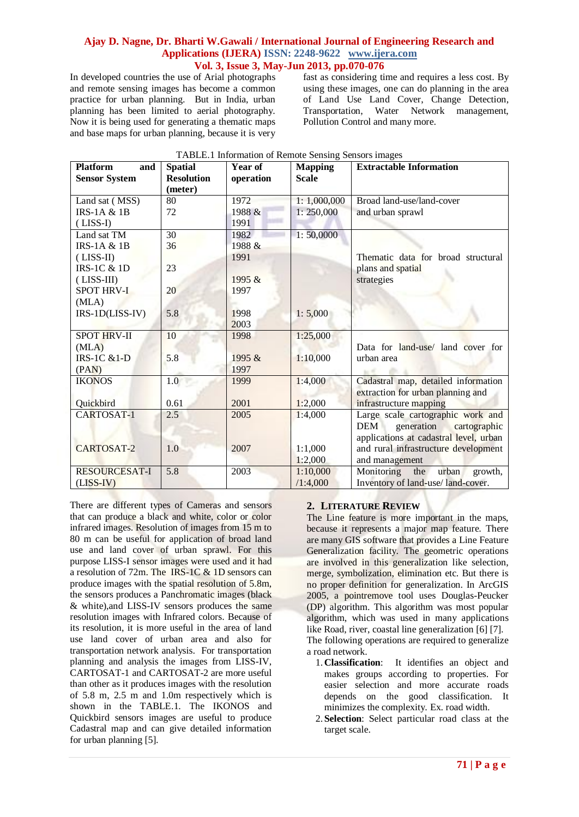In developed countries the use of Arial photographs and remote sensing images has become a common practice for urban planning. But in India, urban planning has been limited to aerial photography. Now it is being used for generating a thematic maps and base maps for urban planning, because it is very fast as considering time and requires a less cost. By using these images, one can do planning in the area of Land Use Land Cover, Change Detection, Transportation, Water Network management, Pollution Control and many more.

| <b>Platform</b><br>and | <b>Spatial</b>    | Year of   | <b>Mapping</b> | <b>Extractable Information</b>           |
|------------------------|-------------------|-----------|----------------|------------------------------------------|
| <b>Sensor System</b>   | <b>Resolution</b> | operation | <b>Scale</b>   |                                          |
|                        | (meter)<br>80     | 1972      |                |                                          |
| Land sat (MSS)         |                   |           | 1:1,000,000    | Broad land-use/land-cover                |
| <b>IRS-1A &amp; 1B</b> | 72                | 1988 &    | 1: 250,000     | and urban sprawl                         |
| $(LISS-I)$             |                   | 1991      |                |                                          |
| Land sat TM            | 30                | 1982      | 1: 50,0000     |                                          |
| $IRS-1A & 1B$          | 36                | 1988 &    |                |                                          |
| $(LISS-II)$            |                   | 1991      |                | Thematic data for broad structural       |
| $IRS-1C & 1D$          | 23                |           |                | plans and spatial                        |
| $(LISS-III)$           |                   | 1995 &    |                | strategies                               |
| <b>SPOT HRV-I</b>      | 20                | 1997      |                |                                          |
| (MLA)                  |                   |           |                |                                          |
| IRS-1D(LISS-IV)        | 5.8               | 1998      | 1:5,000        |                                          |
|                        |                   | 2003      |                |                                          |
| <b>SPOT HRV-II</b>     | 10                | 1998      | 1:25,000       |                                          |
| (MLA)                  |                   |           |                | Data for land-use/ land cover for        |
| <b>IRS-1C &amp;1-D</b> | 5.8               | 1995 &    | 1:10,000       | urban area                               |
| (PAN)                  |                   | 1997      |                |                                          |
| <b>IKONOS</b>          | 1.0               | 1999      | 1:4,000        | Cadastral map, detailed information      |
|                        |                   |           |                | extraction for urban planning and        |
| Quickbird              | 0.61              | 2001      | 1:2,000        | infrastructure mapping                   |
| CARTOSAT-1             | 2.5               | 2005      | 1:4,000        | Large scale cartographic work and        |
|                        |                   |           |                | generation<br><b>DEM</b><br>cartographic |
|                        |                   |           |                | applications at cadastral level, urban   |
| <b>CARTOSAT-2</b>      | 1.0               | 2007      | 1:1.000        | and rural infrastructure development     |
|                        |                   |           | 1:2,000        | and management                           |
| <b>RESOURCESAT-I</b>   | 5.8               | 2003      | 1:10,000       | Monitoring<br>urban<br>the<br>growth,    |
| $(LISS-IV)$            |                   |           | /1:4,000       | Inventory of land-use/land-cover.        |

|  |  | TABLE.1 Information of Remote Sensing Sensors images |  |
|--|--|------------------------------------------------------|--|
|  |  |                                                      |  |

There are different types of Cameras and sensors that can produce a black and white, color or color infrared images. Resolution of images from 15 m to 80 m can be useful for application of broad land use and land cover of urban sprawl. For this purpose LISS-I sensor images were used and it had a resolution of 72m. The IRS-1C & 1D sensors can produce images with the spatial resolution of 5.8m, the sensors produces a Panchromatic images (black & white),and LISS-IV sensors produces the same resolution images with Infrared colors. Because of its resolution, it is more useful in the area of land use land cover of urban area and also for transportation network analysis. For transportation planning and analysis the images from LISS-IV, CARTOSAT-1 and CARTOSAT-2 are more useful than other as it produces images with the resolution of 5.8 m, 2.5 m and 1.0m respectively which is shown in the TABLE.1. The IKONOS and Quickbird sensors images are useful to produce Cadastral map and can give detailed information for urban planning [5].

# **2. LITERATURE REVIEW**

The Line feature is more important in the maps, because it represents a major map feature. There are many GIS software that provides a Line Feature Generalization facility. The geometric operations are involved in this generalization like selection, merge, symbolization, elimination etc. But there is no proper definition for generalization. In ArcGIS 2005, a pointremove tool uses Douglas-Peucker (DP) algorithm. This algorithm was most popular algorithm, which was used in many applications like Road, river, coastal line generalization [6] [7]. The following operations are required to generalize a road network.

- 1.**Classification**: It identifies an object and makes groups according to properties. For easier selection and more accurate roads depends on the good classification. It minimizes the complexity. Ex. road width.
- 2.**Selection**: Select particular road class at the target scale.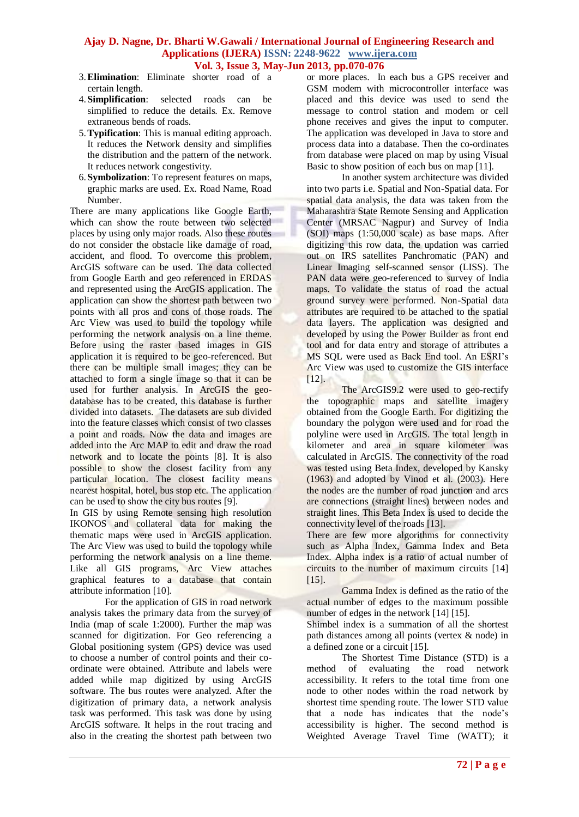- 3.**Elimination**: Eliminate shorter road of a certain length.
- 4.**Simplification**: selected roads can be simplified to reduce the details. Ex. Remove extraneous bends of roads.
- 5.**Typification**: This is manual editing approach. It reduces the Network density and simplifies the distribution and the pattern of the network. It reduces network congestivity.
- 6.**Symbolization**: To represent features on maps, graphic marks are used. Ex. Road Name, Road Number.

There are many applications like Google Earth, which can show the route between two selected places by using only major roads. Also these routes do not consider the obstacle like damage of road, accident, and flood. To overcome this problem, ArcGIS software can be used. The data collected from Google Earth and geo referenced in ERDAS and represented using the ArcGIS application. The application can show the shortest path between two points with all pros and cons of those roads. The Arc View was used to build the topology while performing the network analysis on a line theme. Before using the raster based images in GIS application it is required to be geo-referenced. But there can be multiple small images; they can be attached to form a single image so that it can be used for further analysis. In ArcGIS the geodatabase has to be created, this database is further divided into datasets. The datasets are sub divided into the feature classes which consist of two classes a point and roads. Now the data and images are added into the Arc MAP to edit and draw the road network and to locate the points [8]. It is also possible to show the closest facility from any particular location. The closest facility means nearest hospital, hotel, bus stop etc. The application can be used to show the city bus routes [9].

In GIS by using Remote sensing high resolution IKONOS and collateral data for making the thematic maps were used in ArcGIS application. The Arc View was used to build the topology while performing the network analysis on a line theme. Like all GIS programs, Arc View attaches graphical features to a database that contain attribute information [10].

For the application of GIS in road network analysis takes the primary data from the survey of India (map of scale 1:2000). Further the map was scanned for digitization. For Geo referencing a Global positioning system (GPS) device was used to choose a number of control points and their coordinate were obtained. Attribute and labels were added while map digitized by using ArcGIS software. The bus routes were analyzed. After the digitization of primary data, a network analysis task was performed. This task was done by using ArcGIS software. It helps in the rout tracing and also in the creating the shortest path between two

or more places. In each bus a GPS receiver and GSM modem with microcontroller interface was placed and this device was used to send the message to control station and modem or cell phone receives and gives the input to computer. The application was developed in Java to store and process data into a database. Then the co-ordinates from database were placed on map by using Visual Basic to show position of each bus on map [11].

In another system architecture was divided into two parts i.e. Spatial and Non-Spatial data. For spatial data analysis, the data was taken from the Maharashtra State Remote Sensing and Application Center (MRSAC Nagpur) and Survey of India (SOI) maps (1:50,000 scale) as base maps. After digitizing this row data, the updation was carried out on IRS satellites Panchromatic (PAN) and Linear Imaging self-scanned sensor (LISS). The PAN data were geo-referenced to survey of India maps. To validate the status of road the actual ground survey were performed. Non-Spatial data attributes are required to be attached to the spatial data layers. The application was designed and developed by using the Power Builder as front end tool and for data entry and storage of attributes a MS SQL were used as Back End tool. An ESRI's Arc View was used to customize the GIS interface  $[12]$ .

The ArcGIS9.2 were used to geo-rectify the topographic maps and satellite imagery obtained from the Google Earth. For digitizing the boundary the polygon were used and for road the polyline were used in ArcGIS. The total length in kilometer and area in square kilometer was calculated in ArcGIS. The connectivity of the road was tested using Beta Index, developed by Kansky (1963) and adopted by Vinod et al. (2003). Here the nodes are the number of road junction and arcs are connections (straight lines) between nodes and straight lines. This Beta Index is used to decide the connectivity level of the roads [13].

There are few more algorithms for connectivity such as Alpha Index, Gamma Index and Beta Index. Alpha index is a ratio of actual number of circuits to the number of maximum circuits [14] [15].

Gamma Index is defined as the ratio of the actual number of edges to the maximum possible number of edges in the network [14] [15].

Shimbel index is a summation of all the shortest path distances among all points (vertex & node) in a defined zone or a circuit [15].

The Shortest Time Distance (STD) is a method of evaluating the road network accessibility. It refers to the total time from one node to other nodes within the road network by shortest time spending route. The lower STD value that a node has indicates that the node's accessibility is higher. The second method is Weighted Average Travel Time (WATT); it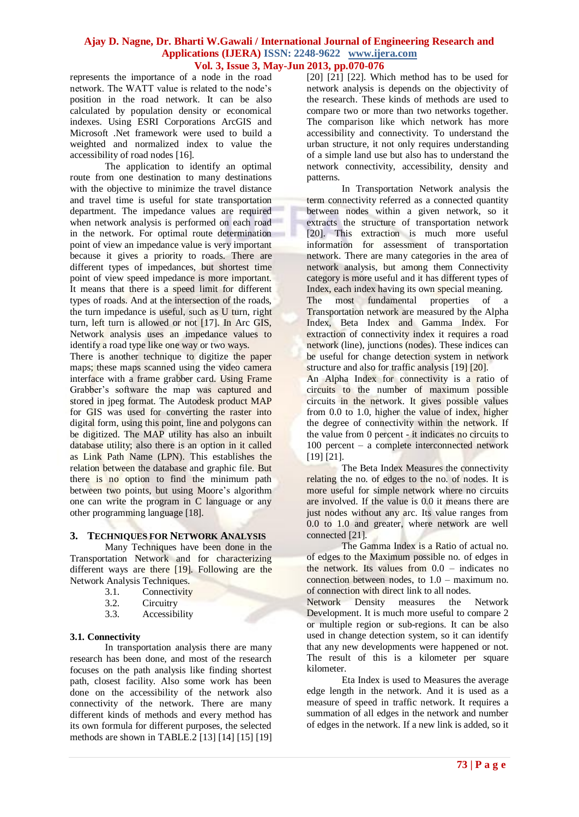represents the importance of a node in the road network. The WATT value is related to the node's position in the road network. It can be also calculated by population density or economical indexes. Using ESRI Corporations ArcGIS and Microsoft .Net framework were used to build a weighted and normalized index to value the accessibility of road nodes [16].

The application to identify an optimal route from one destination to many destinations with the objective to minimize the travel distance and travel time is useful for state transportation department. The impedance values are required when network analysis is performed on each road in the network. For optimal route determination point of view an impedance value is very important because it gives a priority to roads. There are different types of impedances, but shortest time point of view speed impedance is more important. It means that there is a speed limit for different types of roads. And at the intersection of the roads, the turn impedance is useful, such as U turn, right turn, left turn is allowed or not [17]. In Arc GIS, Network analysis uses an impedance values to identify a road type like one way or two ways.

There is another technique to digitize the paper maps; these maps scanned using the video camera interface with a frame grabber card. Using Frame Grabber's software the map was captured and stored in jpeg format. The Autodesk product MAP for GIS was used for converting the raster into digital form, using this point, line and polygons can be digitized. The MAP utility has also an inbuilt database utility; also there is an option in it called as Link Path Name (LPN). This establishes the relation between the database and graphic file. But there is no option to find the minimum path between two points, but using Moore's algorithm one can write the program in C language or any other programming language [18].

### **3. TECHNIQUES FOR NETWORK ANALYSIS**

Many Techniques have been done in the Transportation Network and for characterizing different ways are there [19]. Following are the Network Analysis Techniques.

- 3.1. Connectivity
- 3.2. Circuitry<br>3.3. Accessibi
- Accessibility

#### **3.1. Connectivity**

In transportation analysis there are many research has been done, and most of the research focuses on the path analysis like finding shortest path, closest facility. Also some work has been done on the accessibility of the network also connectivity of the network. There are many different kinds of methods and every method has its own formula for different purposes, the selected methods are shown in TABLE.2 [13] [14] [15] [19] [20] [21] [22]. Which method has to be used for network analysis is depends on the objectivity of the research. These kinds of methods are used to compare two or more than two networks together. The comparison like which network has more accessibility and connectivity. To understand the urban structure, it not only requires understanding of a simple land use but also has to understand the network connectivity, accessibility, density and patterns.

In Transportation Network analysis the term connectivity referred as a connected quantity between nodes within a given network, so it extracts the structure of transportation network [20]. This extraction is much more useful information for assessment of transportation network. There are many categories in the area of network analysis, but among them Connectivity category is more useful and it has different types of Index, each index having its own special meaning. The most fundamental properties of a Transportation network are measured by the Alpha

Index, Beta Index and Gamma Index. For extraction of connectivity index it requires a road network (line), junctions (nodes). These indices can be useful for change detection system in network structure and also for traffic analysis [19] [20].

An Alpha Index for connectivity is a ratio of circuits to the number of maximum possible circuits in the network. It gives possible values from 0.0 to 1.0, higher the value of index, higher the degree of connectivity within the network. If the value from 0 percent - it indicates no circuits to 100 percent – a complete interconnected network [19] [21].

The Beta Index Measures the connectivity relating the no. of edges to the no. of nodes. It is more useful for simple network where no circuits are involved. If the value is 0.0 it means there are just nodes without any arc. Its value ranges from 0.0 to 1.0 and greater, where network are well connected [21].

The Gamma Index is a Ratio of actual no. of edges to the Maximum possible no. of edges in the network. Its values from 0.0 – indicates no connection between nodes, to 1.0 – maximum no. of connection with direct link to all nodes.

Network Density measures the Network Development. It is much more useful to compare 2 or multiple region or sub-regions. It can be also used in change detection system, so it can identify that any new developments were happened or not. The result of this is a kilometer per square kilometer.

Eta Index is used to Measures the average edge length in the network. And it is used as a measure of speed in traffic network. It requires a summation of all edges in the network and number of edges in the network. If a new link is added, so it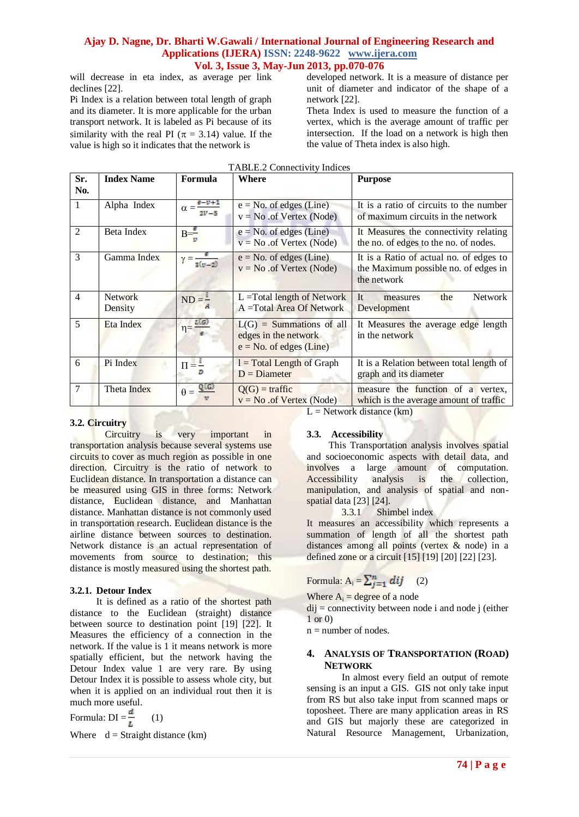will decrease in eta index, as average per link declines [22].

Pi Index is a relation between total length of graph and its diameter. It is more applicable for the urban transport network. It is labeled as Pi because of its similarity with the real PI ( $\pi$  = 3.14) value. If the value is high so it indicates that the network is

developed network. It is a measure of distance per unit of diameter and indicator of the shape of a network [22].

Theta Index is used to measure the function of a vertex, which is the average amount of traffic per intersection. If the load on a network is high then the value of Theta index is also high.

| <b>TABLE.2 Connectivity Indices</b> |                           |                                          |                                                                                 |                                                                                                                       |  |  |  |  |
|-------------------------------------|---------------------------|------------------------------------------|---------------------------------------------------------------------------------|-----------------------------------------------------------------------------------------------------------------------|--|--|--|--|
| Sr.<br>No.                          | <b>Index Name</b>         | Formula                                  | Where                                                                           | <b>Purpose</b>                                                                                                        |  |  |  |  |
| 1                                   | Alpha Index               | $e - v + 1$<br>$\alpha = \frac{1}{2V-5}$ | $e = No$ . of edges (Line)<br>$v = No$ of Vertex (Node)                         | It is a ratio of circuits to the number<br>of maximum circuits in the network                                         |  |  |  |  |
| $\overline{2}$                      | Beta Index                | $B=\frac{e}{2}$                          | $e = No.$ of edges (Line)<br>$v = No$ of Vertex (Node)                          | It Measures the connectivity relating<br>the no. of edges to the no. of nodes.                                        |  |  |  |  |
| 3                                   | Gamma Index               | $\gamma = \frac{3(n-2)}{n}$              | $e = No$ . of edges (Line)<br>$v = No$ of Vertex (Node)                         | It is a Ratio of actual no. of edges to<br>the Maximum possible no. of edges in<br>the network                        |  |  |  |  |
| $\overline{4}$                      | <b>Network</b><br>Density | $ND = -$                                 | $L = Total length of Network$<br>A = Total Area Of Network                      | <b>Network</b><br><b>It</b><br>the<br>measures<br>Development                                                         |  |  |  |  |
| 5                                   | Eta Index                 | L(G)<br>$\eta = \frac{1}{\epsilon}$      | $L(G)$ = Summations of all<br>edges in the network<br>$e = No.$ of edges (Line) | It Measures the average edge length<br>in the network                                                                 |  |  |  |  |
| 6                                   | Pi Index                  | $\Pi = \frac{I}{I}$                      | $l = Total Length of Graph$<br>$D =$ Diameter                                   | It is a Relation between total length of<br>graph and its diameter                                                    |  |  |  |  |
| $\tau$                              | Theta Index               | Q(G)<br>$\theta =$<br>v                  | $Q(G)$ = traffic<br>$v = No$ of Vertex (Node)                                   | measure the function of a vertex,<br>which is the average amount of traffic<br>$\mathbf{1}$ $\mathbf{1}$ $\mathbf{1}$ |  |  |  |  |

**3.2. Circuitry**

Circuitry is very important in transportation analysis because several systems use circuits to cover as much region as possible in one direction. Circuitry is the ratio of network to Euclidean distance. In transportation a distance can be measured using GIS in three forms: Network distance, Euclidean distance, and Manhattan distance. Manhattan distance is not commonly used in transportation research. Euclidean distance is the airline distance between sources to destination. Network distance is an actual representation of movements from source to destination; this distance is mostly measured using the shortest path.

# **3.2.1. Detour Index**

It is defined as a ratio of the shortest path distance to the Euclidean (straight) distance between source to destination point [19] [22]. It Measures the efficiency of a connection in the network. If the value is 1 it means network is more spatially efficient, but the network having the Detour Index value 1 are very rare. By using Detour Index it is possible to assess whole city, but when it is applied on an individual rout then it is much more useful.

Formula:  $DI = \frac{d}{l}$  (1)

Where  $d =$  Straight distance (km)

 $L =$  Network distance  $(km)$ 

# **3.3. Accessibility**

This Transportation analysis involves spatial and socioeconomic aspects with detail data, and involves a large amount of computation. Accessibility analysis is the collection, manipulation, and analysis of spatial and nonspatial data [23] [24].

3.3.1 Shimbel index

It measures an accessibility which represents a summation of length of all the shortest path distances among all points (vertex & node) in a defined zone or a circuit [15] [19] [20] [22] [23].

# Formula:  $A_i = \sum_{i=1}^n dij$  (2)

Where  $A_i$  = degree of a node

 $di$ j = connectivity between node i and node j (either 1 or 0)

 $n =$  number of nodes.

# **4. ANALYSIS OF TRANSPORTATION (ROAD) NETWORK**

In almost every field an output of remote sensing is an input a GIS. GIS not only take input from RS but also take input from scanned maps or toposheet. There are many application areas in RS and GIS but majorly these are categorized in Natural Resource Management, Urbanization,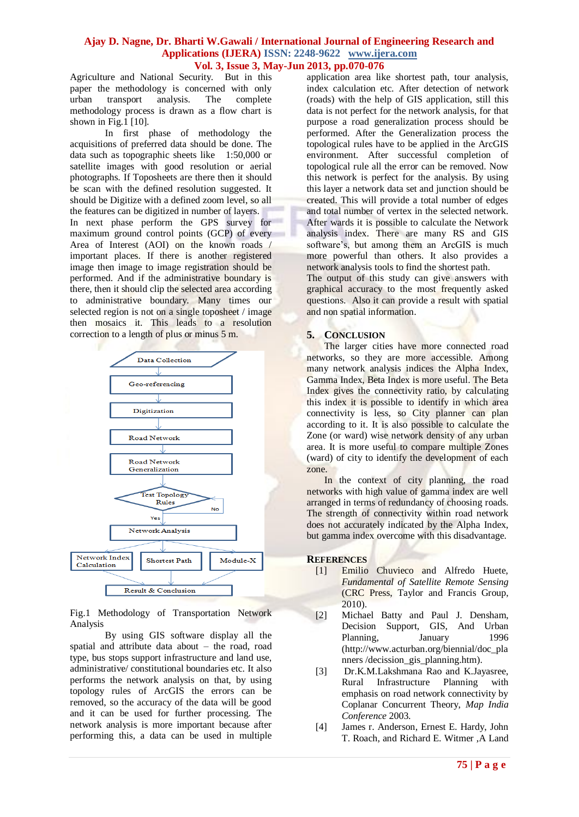Agriculture and National Security. But in this paper the methodology is concerned with only urban transport analysis. The complete methodology process is drawn as a flow chart is shown in Fig.1 [10].

In first phase of methodology the acquisitions of preferred data should be done. The data such as topographic sheets like 1:50,000 or satellite images with good resolution or aerial photographs. If Toposheets are there then it should be scan with the defined resolution suggested. It should be Digitize with a defined zoom level, so all the features can be digitized in number of layers. In next phase perform the GPS survey for maximum ground control points (GCP) of every Area of Interest (AOI) on the known roads / important places. If there is another registered image then image to image registration should be performed. And if the administrative boundary is there, then it should clip the selected area according to administrative boundary. Many times our selected region is not on a single toposheet / image then mosaics it. This leads to a resolution correction to a length of plus or minus 5 m.



Fig.1 Methodology of Transportation Network Analysis

By using GIS software display all the spatial and attribute data about – the road, road type, bus stops support infrastructure and land use, administrative/ constitutional boundaries etc. It also performs the network analysis on that, by using topology rules of ArcGIS the errors can be removed, so the accuracy of the data will be good and it can be used for further processing. The network analysis is more important because after performing this, a data can be used in multiple application area like shortest path, tour analysis, index calculation etc. After detection of network (roads) with the help of GIS application, still this data is not perfect for the network analysis, for that purpose a road generalization process should be performed. After the Generalization process the topological rules have to be applied in the ArcGIS environment. After successful completion of topological rule all the error can be removed. Now this network is perfect for the analysis. By using this layer a network data set and junction should be created. This will provide a total number of edges and total number of vertex in the selected network. After wards it is possible to calculate the Network analysis index. There are many RS and GIS software's, but among them an ArcGIS is much more powerful than others. It also provides a network analysis tools to find the shortest path.

The output of this study can give answers with graphical accuracy to the most frequently asked questions. Also it can provide a result with spatial and non spatial information.

#### **5. CONCLUSION**

The larger cities have more connected road networks, so they are more accessible. Among many network analysis indices the Alpha Index, Gamma Index, Beta Index is more useful. The Beta Index gives the connectivity ratio, by calculating this index it is possible to identify in which area connectivity is less, so City planner can plan according to it. It is also possible to calculate the Zone (or ward) wise network density of any urban area. It is more useful to compare multiple Zones (ward) of city to identify the development of each zone.

In the context of city planning, the road networks with high value of gamma index are well arranged in terms of redundancy of choosing roads. The strength of connectivity within road network does not accurately indicated by the Alpha Index, but gamma index overcome with this disadvantage.

#### **REFERENCES**

- [1] Emilio Chuvieco and Alfredo Huete, *Fundamental of Satellite Remote Sensing* (CRC Press, Taylor and Francis Group, 2010).
- [2] Michael Batty and Paul J. Densham, Decision Support, GIS, And Urban Planning, January 1996 (http://www.acturban.org/biennial/doc\_pla nners /decission\_gis\_planning.htm).
- [3] Dr.K.M.Lakshmana Rao and K.Jayasree, Rural Infrastructure Planning with emphasis on road network connectivity by Coplanar Concurrent Theory, *Map India Conference* 2003.
- [4] James r. Anderson, Ernest E. Hardy, John T. Roach, and Richard E. Witmer ,A Land